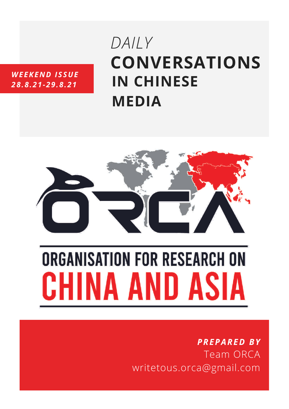### *WEEKEND ISSUE 28.8.21-29.8.21*

# **CONVERSATIONS IN CHINESE MEDIA** *DAILY*



# **ORGANISATION FOR RESEARCH ON** CHINA AND ASIA

# *PREPARED BY* Team ORCA writetous.orca@gmail.com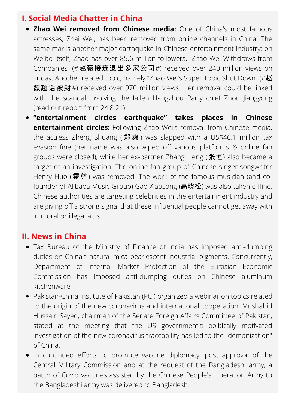#### **I. Social Media Chatter in China**

- **Zhao Wei removed from Chinese media:** One of China's most famous actresses, Zhai Wei, has been [removed](https://www.whatsonweibo.com/why-zhao-wei-vicky-zhaos-name-removed-from-chinas-online-channels/) from online channels in China. The same marks another major earthquake in Chinese entertainment industry; on Weibo itself, Zhao has over 85.6 million followers. "Zhao Wei Withdraws from Companies" (#赵薇接连退出多家公司#) received over 240 million views on Friday. Another related topic, namely "Zhao Wei's Super Topic Shut Down" (#赵 薇超话被封#) received over 970 million views. Her removal could be linked with the scandal involving the fallen Hangzhou Party chief Zhou Jiangyong (read out report from 24.8.21)
- **"entertainment circles earthquake" takes places in Chinese entertainment circles:** Following Zhao Wei's removal from Chinese media, the actress Zheng Shuang (郑爽) was slapped with a US\$46.1 million tax evasion fine (her name was also wiped off various platforms & online fan groups were closed), while her ex-partner Zhang Heng (张恒) also became a target of an investigation. The online fan group of Chinese singer-songwriter Henry Huo (霍尊) was removed. The work of the famous musician (and cofounder of Alibaba Music Group) Gao Xiaosong (高晓松) was also taken offline. Chinese authorities are targeting celebrities in the entertainment industry and are giving off a strong signal that these influential people cannot get away with immoral or illegal acts.

#### **II. News in China**

- Tax Bureau of the Ministry of Finance of India has [imposed](https://cacs.mofcom.gov.cn/cacscms/article/ckys?articleId=170459&type=) anti-dumping duties on China's natural mica pearlescent industrial pigments. Concurrently, Department of Internal Market Protection of the Eurasian Economic Commission has imposed anti-dumping duties on Chinese aluminum kitchenware.
- Pakistan-China Institute of Pakistan (PCI) organized a webinar on topics related to the origin of the new coronavirus and international cooperation. Mushahid Hussain Sayed, chairman of the Senate Foreign Affairs Committee of Pakistan, [stated](https://news.cctv.com/2021/08/29/ARTIYFbLZiAUDj3BLSlQsONc210829.shtml) at the meeting that the US government's politically motivated investigation of the new coronavirus traceability has led to the "demonization" of China.
- In continued efforts to promote vaccine diplomacy, post approval of the Central Military Commission and at the request of the Bangladeshi army, a batch of Covid vaccines assisted by the Chinese People's Liberation Army to the Bangladeshi army was delivered to Bangladesh.